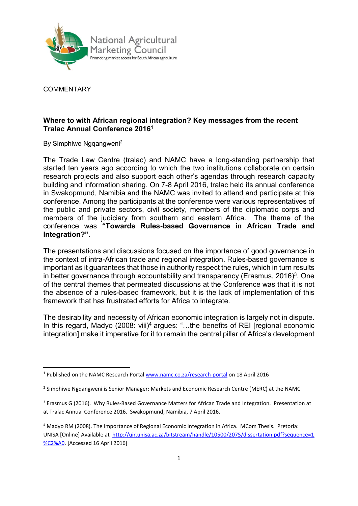

**COMMENTARY** 

-

## Where to with African regional integration? Key messages from the recent Tralac Annual Conference 2016<sup>1</sup>

By Simphiwe Nggangweni<sup>2</sup>

The Trade Law Centre (tralac) and NAMC have a long-standing partnership that started ten years ago according to which the two institutions collaborate on certain research projects and also support each other's agendas through research capacity building and information sharing. On 7-8 April 2016, tralac held its annual conference in Swakopmund, Namibia and the NAMC was invited to attend and participate at this conference. Among the participants at the conference were various representatives of the public and private sectors, civil society, members of the diplomatic corps and members of the judiciary from southern and eastern Africa. The theme of the conference was "Towards Rules-based Governance in African Trade and Integration?".

The presentations and discussions focused on the importance of good governance in the context of intra-African trade and regional integration. Rules-based governance is important as it guarantees that those in authority respect the rules, which in turn results in better governance through accountability and transparency (Erasmus, 2016)<sup>3</sup>. One of the central themes that permeated discussions at the Conference was that it is not the absence of a rules-based framework, but it is the lack of implementation of this framework that has frustrated efforts for Africa to integrate.

The desirability and necessity of African economic integration is largely not in dispute. In this regard, Madyo (2008: viii)<sup>4</sup> argues: "...the benefits of REI [regional economic integration] make it imperative for it to remain the central pillar of Africa's development

<sup>&</sup>lt;sup>1</sup> Published on the NAMC Research Portal www.namc.co.za/research-portal on 18 April 2016

<sup>&</sup>lt;sup>2</sup> Simphiwe Ngqangweni is Senior Manager: Markets and Economic Research Centre (MERC) at the NAMC

<sup>&</sup>lt;sup>3</sup> Erasmus G (2016). Why Rules-Based Governance Matters for African Trade and Integration. Presentation at at Tralac Annual Conference 2016. Swakopmund, Namibia, 7 April 2016.

<sup>&</sup>lt;sup>4</sup> Madyo RM (2008). The Importance of Regional Economic Integration in Africa. MCom Thesis. Pretoria: UNISA [Online] Available at http://uir.unisa.ac.za/bitstream/handle/10500/2075/dissertation.pdf?sequence=1 %C2%A0. [Accessed 16 April 2016]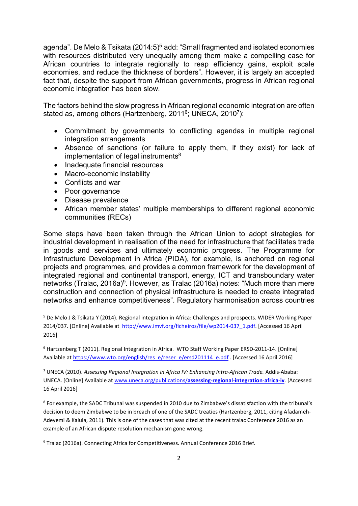agenda". De Melo & Tsikata (2014:5)<sup>5</sup> add: "Small fragmented and isolated economies with resources distributed very unequally among them make a compelling case for African countries to integrate regionally to reap efficiency gains, exploit scale economies, and reduce the thickness of borders". However, it is largely an accepted fact that, despite the support from African governments, progress in African regional economic integration has been slow.

The factors behind the slow progress in African regional economic integration are often stated as, among others (Hartzenberg, 2011<sup>6</sup>; UNECA, 2010<sup>7</sup>):

- Commitment by governments to conflicting agendas in multiple regional integration arrangements
- Absence of sanctions (or failure to apply them, if they exist) for lack of  $implementation of legal instruments<sup>8</sup>$
- Inadequate financial resources
- Macro-economic instability
- Conflicts and war
- Poor governance

-

- Disease prevalence
- African member states' multiple memberships to different regional economic communities (RECs)

Some steps have been taken through the African Union to adopt strategies for industrial development in realisation of the need for infrastructure that facilitates trade in goods and services and ultimately economic progress. The Programme for Infrastructure Development in Africa (PIDA), for example, is anchored on regional projects and programmes, and provides a common framework for the development of integrated regional and continental transport, energy, ICT and transboundary water networks (Tralac, 2016a)<sup>9</sup>. However, as Tralac (2016a) notes: "Much more than mere construction and connection of physical infrastructure is needed to create integrated networks and enhance competitiveness". Regulatory harmonisation across countries

<sup>8</sup> For example, the SADC Tribunal was suspended in 2010 due to Zimbabwe's dissatisfaction with the tribunal's decision to deem Zimbabwe to be in breach of one of the SADC treaties (Hartzenberg, 2011, citing Afadameh-Adeyemi & Kalula, 2011). This is one of the cases that was cited at the recent tralac Conference 2016 as an example of an African dispute resolution mechanism gone wrong.

<sup>9</sup> Tralac (2016a). Connecting Africa for Competitiveness. Annual Conference 2016 Brief.

<sup>5</sup> De Melo J & Tsikata Y (2014). Regional integration in Africa: Challenges and prospects. WIDER Working Paper 2014/037. [Online] Available at http://www.imvf.org/ficheiros/file/wp2014-037\_1.pdf. [Accessed 16 April 2016]

<sup>6</sup> Hartzenberg T (2011). Regional Integration in Africa. WTO Staff Working Paper ERSD-2011-14. [Online] Available at https://www.wto.org/english/res\_e/reser\_e/ersd201114\_e.pdf . [Accessed 16 April 2016]

<sup>&</sup>lt;sup>7</sup> UNECA (2010). Assessing Regional Integration in Africa IV: Enhancing Intra-African Trade. Addis-Ababa: UNECA. [Online] Available at www.uneca.org/publications/assessing-regional-integration-africa-iv. [Accessed 16 April 2016]